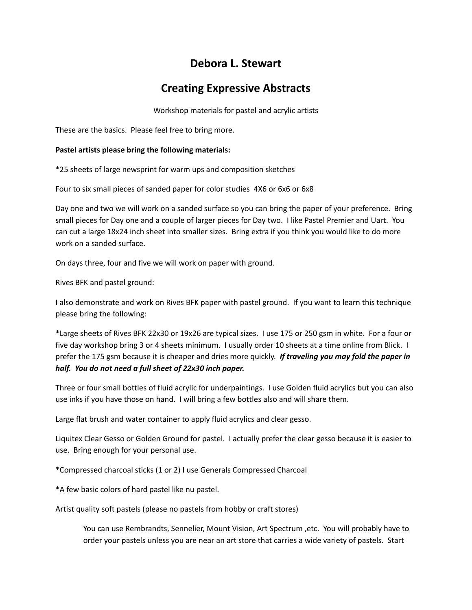## **Debora L. Stewart**

## **Creating Expressive Abstracts**

Workshop materials for pastel and acrylic artists

These are the basics. Please feel free to bring more.

## **Pastel artists please bring the following materials:**

\*25 sheets of large newsprint for warm ups and composition sketches

Four to six small pieces of sanded paper for color studies 4X6 or 6x6 or 6x8

Day one and two we will work on a sanded surface so you can bring the paper of your preference. Bring small pieces for Day one and a couple of larger pieces for Day two. I like Pastel Premier and Uart. You can cut a large 18x24 inch sheet into smaller sizes. Bring extra if you think you would like to do more work on a sanded surface.

On days three, four and five we will work on paper with ground.

Rives BFK and pastel ground:

I also demonstrate and work on Rives BFK paper with pastel ground. If you want to learn this technique please bring the following:

\*Large sheets of Rives BFK 22x30 or 19x26 are typical sizes. I use 175 or 250 gsm in white. For a four or five day workshop bring 3 or 4 sheets minimum. I usually order 10 sheets at a time online from Blick. I prefer the 175 gsm because it is cheaper and dries more quickly. *If traveling you may fold the paper in half. You do not need a full sheet of 22x30 inch paper.*

Three or four small bottles of fluid acrylic for underpaintings. I use Golden fluid acrylics but you can also use inks if you have those on hand. I will bring a few bottles also and will share them.

Large flat brush and water container to apply fluid acrylics and clear gesso.

Liquitex Clear Gesso or Golden Ground for pastel. I actually prefer the clear gesso because it is easier to use. Bring enough for your personal use.

\*Compressed charcoal sticks (1 or 2) I use Generals Compressed Charcoal

\*A few basic colors of hard pastel like nu pastel.

Artist quality soft pastels (please no pastels from hobby or craft stores)

You can use Rembrandts, Sennelier, Mount Vision, Art Spectrum ,etc. You will probably have to order your pastels unless you are near an art store that carries a wide variety of pastels. Start